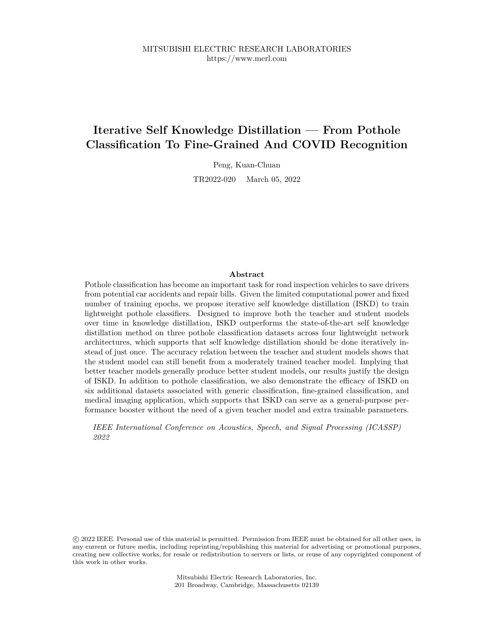# **Iterative Self Knowledge Distillation — From Pothole Classification To Fine-Grained And COVID Recognition**

Peng, Kuan-Chuan

TR2022-020 March 05, 2022

#### **Abstract**

Pothole classification has become an important task for road inspection vehicles to save drivers from potential car accidents and repair bills. Given the limited computational power and fixed number of training epochs, we propose iterative self knowledge distillation (ISKD) to train lightweight pothole classifiers. Designed to improve both the teacher and student models over time in knowledge distillation, ISKD outperforms the state-of-the-art self knowledge distillation method on three pothole classification datasets across four lightweight network architectures, which supports that self knowledge distillation should be done iteratively instead of just once. The accuracy relation between the teacher and student models shows that the student model can still benefit from a moderately trained teacher model. Implying that better teacher models generally produce better student models, our results justify the design of ISKD. In addition to pothole classification, we also demonstrate the efficacy of ISKD on six additional datasets associated with generic classification, fine-grained classification, and medical imaging application, which supports that ISKD can serve as a general-purpose performance booster without the need of a given teacher model and extra trainable parameters.

*IEEE International Conference on Acoustics, Speech, and Signal Processing (ICASSP) 2022*

 c 2022 IEEE. Personal use of this material is permitted. Permission from IEEE must be obtained for all other uses, in any current or future media, including reprinting/republishing this material for advertising or promotional purposes, creating new collective works, for resale or redistribution to servers or lists, or reuse of any copyrighted component of this work in other works.

> Mitsubishi Electric Research Laboratories, Inc. 201 Broadway, Cambridge, Massachusetts 02139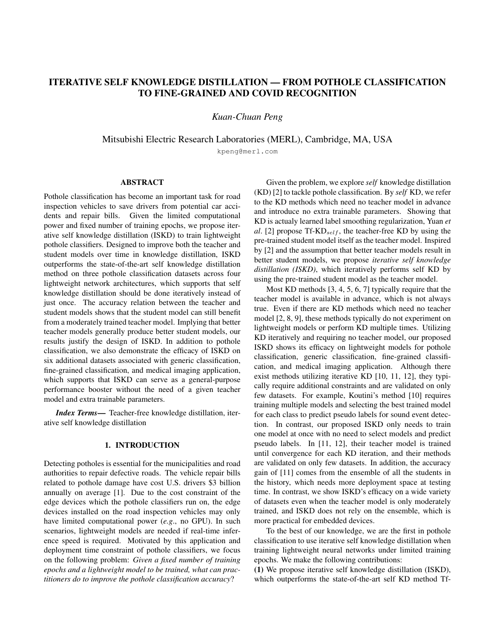# ITERATIVE SELF KNOWLEDGE DISTILLATION — FROM POTHOLE CLASSIFICATION TO FINE-GRAINED AND COVID RECOGNITION

*Kuan-Chuan Peng*

Mitsubishi Electric Research Laboratories (MERL), Cambridge, MA, USA

kpeng@merl.com

# ABSTRACT

Pothole classification has become an important task for road inspection vehicles to save drivers from potential car accidents and repair bills. Given the limited computational power and fixed number of training epochs, we propose iterative self knowledge distillation (ISKD) to train lightweight pothole classifiers. Designed to improve both the teacher and student models over time in knowledge distillation, ISKD outperforms the state-of-the-art self knowledge distillation method on three pothole classification datasets across four lightweight network architectures, which supports that self knowledge distillation should be done iteratively instead of just once. The accuracy relation between the teacher and student models shows that the student model can still benefit from a moderately trained teacher model. Implying that better teacher models generally produce better student models, our results justify the design of ISKD. In addition to pothole classification, we also demonstrate the efficacy of ISKD on six additional datasets associated with generic classification, fine-grained classification, and medical imaging application, which supports that ISKD can serve as a general-purpose performance booster without the need of a given teacher model and extra trainable parameters.

*Index Terms*— Teacher-free knowledge distillation, iterative self knowledge distillation

#### 1. INTRODUCTION

Detecting potholes is essential for the municipalities and road authorities to repair defective roads. The vehicle repair bills related to pothole damage have cost U.S. drivers \$3 billion annually on average [1]. Due to the cost constraint of the edge devices which the pothole classifiers run on, the edge devices installed on the road inspection vehicles may only have limited computational power (*e.g*., no GPU). In such scenarios, lightweight models are needed if real-time inference speed is required. Motivated by this application and deployment time constraint of pothole classifiers, we focus on the following problem: *Given a fixed number of training epochs and a lightweight model to be trained, what can practitioners do to improve the pothole classification accuracy*?

Given the problem, we explore *self* knowledge distillation (KD) [2] to tackle pothole classification. By *self* KD, we refer to the KD methods which need no teacher model in advance and introduce no extra trainable parameters. Showing that KD is actualy learned label smoothing regularization, Yuan *et al*. [2] propose Tf- $KD_{self}$ , the teacher-free KD by using the pre-trained student model itself as the teacher model. Inspired by [2] and the assumption that better teacher models result in better student models, we propose *iterative self knowledge distillation (ISKD)*, which iteratively performs self KD by using the pre-trained student model as the teacher model.

Most KD methods [3, 4, 5, 6, 7] typically require that the teacher model is available in advance, which is not always true. Even if there are KD methods which need no teacher model [2, 8, 9], these methods typically do not experiment on lightweight models or perform KD multiple times. Utilizing KD iteratively and requiring no teacher model, our proposed ISKD shows its efficacy on lightweight models for pothole classification, generic classification, fine-grained classification, and medical imaging application. Although there exist methods utilizing iterative KD [10, 11, 12], they typically require additional constraints and are validated on only few datasets. For example, Koutini's method [10] requires training multiple models and selecting the best trained model for each class to predict pseudo labels for sound event detection. In contrast, our proposed ISKD only needs to train one model at once with no need to select models and predict pseudo labels. In [11, 12], their teacher model is trained until convergence for each KD iteration, and their methods are validated on only few datasets. In addition, the accuracy gain of [11] comes from the ensemble of all the students in the history, which needs more deployment space at testing time. In contrast, we show ISKD's efficacy on a wide variety of datasets even when the teacher model is only moderately trained, and ISKD does not rely on the ensemble, which is more practical for embedded devices.

To the best of our knowledge, we are the first in pothole classification to use iterative self knowledge distillation when training lightweight neural networks under limited training epochs. We make the following contributions:

(1) We propose iterative self knowledge distillation (ISKD), which outperforms the state-of-the-art self KD method Tf-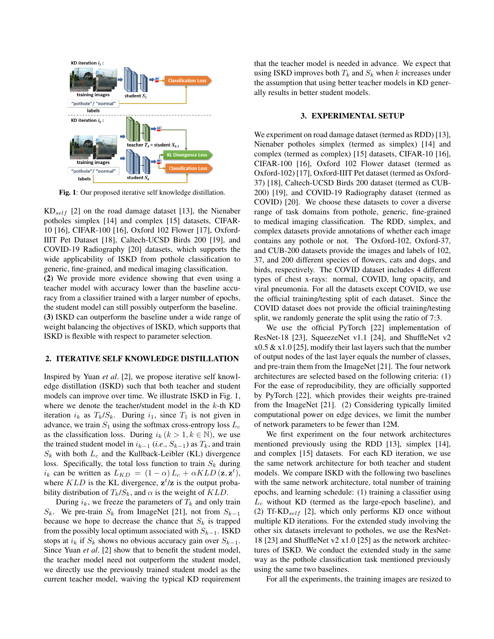

Fig. 1: Our proposed iterative self knowledge distillation.

 $KD_{self}$  [2] on the road damage dataset [13], the Nienaber potholes simplex [14] and complex [15] datasets, CIFAR-10 [16], CIFAR-100 [16], Oxford 102 Flower [17], Oxford-IIIT Pet Dataset [18], Caltech-UCSD Birds 200 [19], and COVID-19 Radiography [20] datasets, which supports the wide applicability of ISKD from pothole classification to generic, fine-grained, and medical imaging classification.

(2) We provide more evidence showing that even using a teacher model with accuracy lower than the baseline accuracy from a classifier trained with a larger number of epochs, the student model can still possibly outperform the baseline. (3) ISKD can outperform the baseline under a wide range of weight balancing the objectives of ISKD, which supports that ISKD is flexible with respect to parameter selection.

# 2. ITERATIVE SELF KNOWLEDGE DISTILLATION

Inspired by Yuan *et al*. [2], we propose iterative self knowledge distillation (ISKD) such that both teacher and student models can improve over time. We illustrate ISKD in Fig. 1, where we denote the teacher/student model in the  $k$ -th KD iteration  $i_k$  as  $T_k/S_k$ . During  $i_1$ , since  $T_1$  is not given in advance, we train  $S_1$  using the softmax cross-entropy loss  $L_c$ as the classification loss. During  $i_k$  ( $k > 1, k \in \mathbb{N}$ ), we use the trained student model in  $i_{k-1}$  (*i.e.*,  $S_{k-1}$ ) as  $T_k$ , and train  $S_k$  with both  $L_c$  and the Kullback-Leibler (KL) divergence loss. Specifically, the total loss function to train  $S_k$  during  $i_k$  can be written as  $L_{KD} = (1 - \alpha) L_c + \alpha KL D(\mathbf{z}, \mathbf{z}^t),$ where  $KLD$  is the KL divergence,  $z^t/z$  is the output probability distribution of  $T_k/S_k$ , and  $\alpha$  is the weight of  $KLD$ .

During  $i_k$ , we freeze the parameters of  $T_k$  and only train  $S_k$ . We pre-train  $S_k$  from ImageNet [21], not from  $S_{k-1}$ because we hope to decrease the chance that  $S_k$  is trapped from the possibly local optimum associated with  $S_{k-1}$ . ISKD stops at  $i_k$  if  $S_k$  shows no obvious accuracy gain over  $S_{k-1}$ . Since Yuan *et al*. [2] show that to benefit the student model, the teacher model need not outperform the student model, we directly use the previously trained student model as the current teacher model, waiving the typical KD requirement

that the teacher model is needed in advance. We expect that using ISKD improves both  $T_k$  and  $S_k$  when k increases under the assumption that using better teacher models in KD generally results in better student models.

#### 3. EXPERIMENTAL SETUP

We experiment on road damage dataset (termed as RDD) [13], Nienaber potholes simplex (termed as simplex) [14] and complex (termed as complex) [15] datasets, CIFAR-10 [16], CIFAR-100 [16], Oxford 102 Flower dataset (termed as Oxford-102) [17], Oxford-IIIT Pet dataset (termed as Oxford-37) [18], Caltech-UCSD Birds 200 dataset (termed as CUB-200) [19], and COVID-19 Radiography dataset (termed as COVID) [20]. We choose these datasets to cover a diverse range of task domains from pothole, generic, fine-grained to medical imaging classification. The RDD, simplex, and complex datasets provide annotations of whether each image contains any pothole or not. The Oxford-102, Oxford-37, and CUB-200 datasets provide the images and labels of 102, 37, and 200 different species of flowers, cats and dogs, and birds, respectively. The COVID dataset includes 4 different types of chest x-rays: normal, COVID, lung opacity, and viral pneumonia. For all the datasets except COVID, we use the official training/testing split of each dataset. Since the COVID dataset does not provide the official training/testing split, we randomly generate the split using the ratio of 7:3.

We use the official PyTorch [22] implementation of ResNet-18 [23], SqueezeNet v1.1 [24], and ShuffleNet v2  $x0.5 \& x1.0$  [25], modify their last layers such that the number of output nodes of the last layer equals the number of classes, and pre-train them from the ImageNet [21]. The four network architectures are selected based on the following criteria: (1) For the ease of reproducibility, they are officially supported by PyTorch [22], which provides their weights pre-trained from the ImageNet [21]. (2) Considering typically limited computational power on edge devices, we limit the number of network parameters to be fewer than 12M.

We first experiment on the four network architectures mentioned previously using the RDD [13], simplex [14], and complex [15] datasets. For each KD iteration, we use the same network architecture for both teacher and student models. We compare ISKD with the following two baselines with the same network architecture, total number of training epochs, and learning schedule: (1) training a classifier using  $L_c$  without KD (termed as the large-epoch baseline), and (2) Tf- $KD_{self}$  [2], which only performs KD once without multiple KD iterations. For the extended study involving the other six datasets irrelevant to potholes, we use the ResNet-18 [23] and ShuffleNet v2 x1.0 [25] as the network architectures of ISKD. We conduct the extended study in the same way as the pothole classification task mentioned previously using the same two baselines.

For all the experiments, the training images are resized to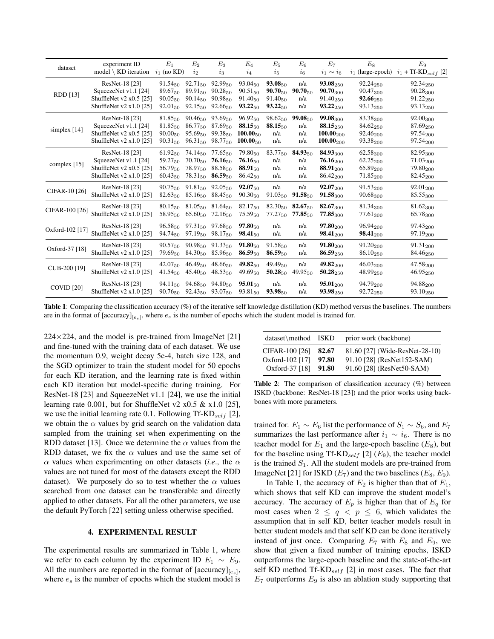| dataset           | experiment ID<br>model $\setminus$ KD iteration | $E_1$<br>$i_1$ (no KD)               | E <sub>2</sub><br>$i_{2}$ | $E_3$<br>$i_{3}$             | $E_4$<br>$i_4$                 | $E_5$<br>$i_{5}$                    | $E_6$<br>$i_{6}$             | $E_7$<br>$i_1 \sim i_6$        | $E_8$                            | $E_9$<br>$i_1$ (large-epoch) $i_1$ + Tf-KD <sub>self</sub> [2] |
|-------------------|-------------------------------------------------|--------------------------------------|---------------------------|------------------------------|--------------------------------|-------------------------------------|------------------------------|--------------------------------|----------------------------------|----------------------------------------------------------------|
| RDD [13]          | ResNet-18 [23]                                  | 91.54 <sub>50</sub>                  | $92.71_{50}$              | $92.99_{50}$                 | $93.04_{50}$                   | 93.08 <sub>50</sub>                 | n/a                          | 93.08 <sub>250</sub>           | $92.24_{250}$                    | $92.34_{250}$                                                  |
|                   | SqueezeNet v1.1 [24]                            | 89.6750                              | 89.9150                   | $90.28_{50}$                 | $90.51_{50}$                   | $90.70_{50}$                        | $90.70_{50}$                 | $90.70_{300}$                  | $90.47_{300}$                    | 90.28300                                                       |
|                   | ShuffleNet v2 x0.5 [25]                         | $90.05_{50}$                         | 90.1450                   | 90.9850                      | 91.4050                        | 91.4050                             | n/a                          | 91.40250                       | 92.66250                         | 91.22 <sub>250</sub>                                           |
|                   | ShuffleNet v2 $x1.0$ [25]                       | 92.01 <sub>50</sub>                  | $92.15_{50}$              | $92.66_{50}$                 | $93.22_{50}$                   | $93.22_{50}$                        | n/a                          | $93.22_{250}$                  | $93.13_{250}$                    | $93.13_{250}$                                                  |
| simplex $[14]$    | ResNet-18 [23]                                  | $81.85_{50}$                         | $90.46_{50}$              | 93.69 <sub>50</sub>          | 96.9250                        | $98.62_{50}$                        | $99.08_{50}$                 | 99.08 <sub>300</sub>           | 83.38 <sub>300</sub>             | $92.00_{300}$                                                  |
|                   | SqueezeNet v1.1 [24]                            | 81.8550                              | 86.77 <sub>50</sub>       | 87.6950                      | $88.15_{50}$                   | 88.1556                             | n/a                          | $88.15_{250}$                  | 84.62250                         | 87.69250                                                       |
|                   | ShuffleNet v2 x0.5 [25]                         | $90.00_{50}$                         | 95.6950                   | 99.3850                      | $100.00_{50}$                  | n/a                                 | n/a                          | $100.00_{200}$                 | $92.46_{200}$                    | $97.54_{200}$                                                  |
|                   | ShuffleNet v2 x1.0 [25]                         | 90.3150                              | $96.31_{50}$              | 98.77 <sub>50</sub>          | $100.00_{50}$                  | n/a                                 | n/a                          | $100.00_{200}$                 | 93.38 <sub>200</sub>             | 97.54 <sub>200</sub>                                           |
| complex $[15]$    | ResNet-18 [23]                                  | 61.9250                              | $74.14_{50}$              | $77.65_{50}$                 | $79.80_{50}$                   | 83.77 <sub>50</sub>                 | $84.93_{50}$                 | 84.93 <sub>300</sub>           | $62.58_{300}$                    | 82.95 <sub>300</sub>                                           |
|                   | SqueezeNet v1.1 [24]                            | 59.27 <sub>50</sub>                  | $70.70_{50}$              | $76.16_{50}$                 | $76.16_{50}$                   | n/a                                 | n/a                          | $76.16_{200}$                  | $62.25_{200}$                    | 71.03200                                                       |
|                   | ShuffleNet v2 x0.5 [25]                         | 56.7950                              | 78.97 <sub>50</sub>       | $88.58_{50}$                 | $88.91_{50}$                   | n/a                                 | n/a                          | $88.91_{200}$                  | 65.89 <sub>200</sub>             | $79.80_{200}$                                                  |
|                   | ShuffleNet $v2 \times 1.0$ [25]                 | $60.43_{50}$                         | 78.3150                   | $86.59_{50}$                 | $86.42_{50}$                   | n/a                                 | n/a                          | 86.42 <sub>200</sub>           | $71.85_{200}$                    | 82.45 <sub>200</sub>                                           |
| CIFAR-10 [26]     | ResNet-18 [23]                                  | $90.75_{50}$                         | 91.81 <sub>50</sub>       | $92.05_{50}$                 | $92.07_{50}$                   | n/a                                 | n/a                          | $92.07_{200}$                  | $91.53_{200}$                    | $92.01_{200}$                                                  |
|                   | ShuffleNet v2 x1.0 [25]                         | 82.6350                              | $85.16_{50}$              | $88.45_{50}$                 | $90.30_{50}$                   | $91.03_{50}$                        | $91.58_{50}$                 | $91.58_{300}$                  | $90.68_{300}$                    | 85.55300                                                       |
| CIFAR-100 [26]    | ResNet-18 [23]<br>ShuffleNet v2 x1.0 [25]       | $80.15_{50}$ $81.05_{50}$<br>58.9550 | $65.60_{50}$              | $81.64_{50}$<br>$72.16_{50}$ | 82.17 <sub>50</sub><br>75.5950 | $82.30_{50}$<br>77.27 <sub>50</sub> | $82.67_{50}$<br>$77.85_{50}$ | $82.67_{300}$<br>$77.85_{300}$ | 81.34 <sub>300</sub><br>77.61300 | $81.62_{300}$<br>65.78 <sub>300</sub>                          |
| Oxford-102 [17]   | ResNet-18 [23]                                  | $96.58_{50}$                         | 97.31 <sub>50</sub>       | $97.68_{50}$                 | $97.80_{50}$                   | n/a                                 | n/a                          | $97.80_{200}$                  | 96.94 <sub>200</sub>             | $97.43_{200}$                                                  |
|                   | ShuffleNet v2 x1.0 [25]                         | 94.7450                              | 97.19 <sub>50</sub>       | 98.17 <sub>50</sub>          | $98.41_{50}$                   | n/a                                 | n/a                          | $98.41_{200}$                  | $98.41_{200}$                    | 97.19 <sub>200</sub>                                           |
| Oxford-37 [18]    | ResNet-18 [23]                                  | $90.57_{50}$                         | $90.98_{50}$              | $91.33_{50}$                 | $91.80_{50}$                   | 91.5850                             | n/a                          | $91.80_{200}$                  | $91.20_{200}$                    | $91.31_{200}$                                                  |
|                   | ShuffleNet v2 x1.0 [25]                         | 79.6950                              | 84.30 <sub>50</sub>       | $85.96_{50}$                 | $86.59_{50}$                   | $86.59_{50}$                        | n/a                          | $86.59_{250}$                  | $86.10_{250}$                    | 84.46250                                                       |
| CUB-200 [19]      | ResNet-18 [23]                                  | 42.07 <sub>50</sub>                  | 46.49 <sub>50</sub>       | 48.6650                      | $49.82_{50}$                   | 49.4950                             | n/a                          | 49.82200                       | $46.03_{200}$                    | $47.58_{200}$                                                  |
|                   | ShuffleNet v2 $x1.0$ [25]                       | $41.54_{50}$                         | $45.40_{50}$              | $48.53_{50}$                 | $49.69_{50}$                   | $50.28_{50}$                        | $49.95_{50}$                 | $50.28_{250}$                  | 48.99250                         | 46.95250                                                       |
| <b>COVID</b> [20] | ResNet-18 [23]                                  | 94.11 <sub>50</sub>                  | 94.68 <sub>50</sub>       | 94.8050                      | $95.01_{50}$                   | n/a                                 | n/a                          | $95.01_{200}$                  | 94.79 <sub>200</sub>             | 94.88 <sub>200</sub>                                           |
|                   | ShuffleNet $v2 \times 1.0$ [25]                 | 90.76 <sub>50</sub>                  | 92.43 <sub>50</sub>       | 93.07 <sub>50</sub>          | $93.81_{50}$                   | $93.98_{50}$                        | n/a                          | $93.98_{250}$                  | 92.72 <sub>250</sub>             | $93.10_{250}$                                                  |

Table 1: Comparing the classification accuracy (%) of the iterative self knowledge distillation (KD) method versus the baselines. The numbers are in the format of  $[\text{accuracy}]_{[e_s]}$ , where  $e_s$  is the number of epochs which the student model is trained for.

 $224 \times 224$ , and the model is pre-trained from ImageNet [21] and fine-tuned with the training data of each dataset. We use the momentum 0.9, weight decay 5e-4, batch size 128, and the SGD optimizer to train the student model for 50 epochs for each KD iteration, and the learning rate is fixed within each KD iteration but model-specific during training. For ResNet-18 [23] and SqueezeNet v1.1 [24], we use the initial learning rate 0.001, but for ShuffleNet v2 x0.5 & x1.0 [25], we use the initial learning rate 0.1. Following Tf-KD<sub>self</sub> [2], we obtain the  $\alpha$  values by grid search on the validation data sampled from the training set when experimenting on the RDD dataset [13]. Once we determine the  $\alpha$  values from the RDD dataset, we fix the  $\alpha$  values and use the same set of  $\alpha$  values when experimenting on other datasets (*i.e.*, the  $\alpha$ values are not tuned for most of the datasets except the RDD dataset). We purposely do so to test whether the  $\alpha$  values searched from one dataset can be transferable and directly applied to other datasets. For all the other parameters, we use the default PyTorch [22] setting unless otherwise specified.

## 4. EXPERIMENTAL RESULT

The experimental results are summarized in Table 1, where we refer to each column by the experiment ID  $E_1 \sim E_9$ . All the numbers are reported in the format of  $[accuracy]_{[e_s]}$ , where  $e_s$  is the number of epochs which the student model is

| dataset\method ISKD |       | prior work (backbone)          |
|---------------------|-------|--------------------------------|
| CIFAR-100 [26]      | 82.67 | 81.60 [27] (Wide-ResNet-28-10) |
| Oxford-102 [17]     | 97.80 | 91.10 [28] (ResNet152-SAM)     |
| Oxford-37 [18]      | 91.80 | 91.60 [28] (ResNet50-SAM)      |

Table 2: The comparison of classification accuracy (%) between ISKD (backbone: ResNet-18 [23]) and the prior works using backbones with more parameters.

trained for.  $E_1 \sim E_6$  list the performance of  $S_1 \sim S_6$ , and  $E_7$ summarizes the last performance after  $i_1 \sim i_6$ . There is no teacher model for  $E_1$  and the large-epoch baseline  $(E_8)$ , but for the baseline using Tf-KD<sub>self</sub> [2] ( $E_9$ ), the teacher model is the trained  $S_1$ . All the student models are pre-trained from ImageNet [21] for ISKD  $(E_7)$  and the two baselines  $(E_8, E_9)$ .

In Table 1, the accuracy of  $E_2$  is higher than that of  $E_1$ , which shows that self KD can improve the student model's accuracy. The accuracy of  $E_p$  is higher than that of  $E_q$  for most cases when  $2 \leq q \leq p \leq 6$ , which validates the assumption that in self KD, better teacher models result in better student models and that self KD can be done iteratively instead of just once. Comparing  $E_7$  with  $E_8$  and  $E_9$ , we show that given a fixed number of training epochs, ISKD outperforms the large-epoch baseline and the state-of-the-art self KD method Tf-KD<sub>self</sub> [2] in most cases. The fact that  $E_7$  outperforms  $E_9$  is also an ablation study supporting that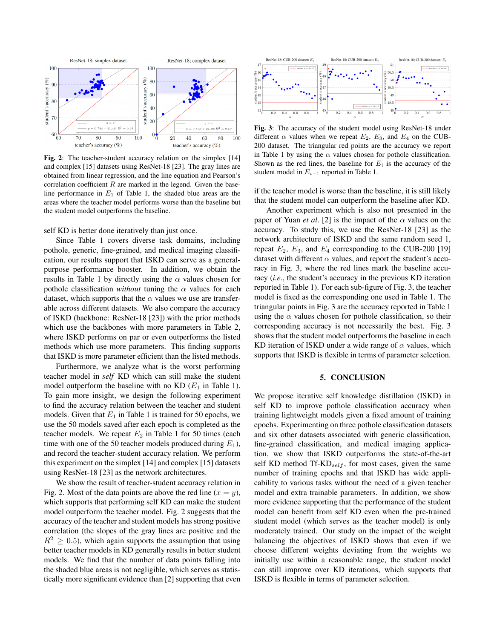

Fig. 2: The teacher-student accuracy relation on the simplex [14] and complex [15] datasets using ResNet-18 [23]. The gray lines are obtained from linear regression, and the line equation and Pearson's correlation coefficient  $R$  are marked in the legend. Given the baseline performance in  $E_1$  of Table 1, the shaded blue areas are the areas where the teacher model performs worse than the baseline but the student model outperforms the baseline.

self KD is better done iteratively than just once.

Since Table 1 covers diverse task domains, including pothole, generic, fine-grained, and medical imaging classification, our results support that ISKD can serve as a generalpurpose performance booster. In addition, we obtain the results in Table 1 by directly using the  $\alpha$  values chosen for pothole classification *without* tuning the  $\alpha$  values for each dataset, which supports that the  $\alpha$  values we use are transferable across different datasets. We also compare the accuracy of ISKD (backbone: ResNet-18 [23]) with the prior methods which use the backbones with more parameters in Table 2, where ISKD performs on par or even outperforms the listed methods which use more parameters. This finding supports that ISKD is more parameter efficient than the listed methods.

Furthermore, we analyze what is the worst performing teacher model in *self* KD which can still make the student model outperform the baseline with no KD  $(E_1$  in Table 1). To gain more insight, we design the following experiment to find the accuracy relation between the teacher and student models. Given that  $E_1$  in Table 1 is trained for 50 epochs, we use the 50 models saved after each epoch is completed as the teacher models. We repeat  $E_2$  in Table 1 for 50 times (each time with one of the 50 teacher models produced during  $E_1$ ), and record the teacher-student accuracy relation. We perform this experiment on the simplex [14] and complex [15] datasets using ResNet-18 [23] as the network architectures.

We show the result of teacher-student accuracy relation in Fig. 2. Most of the data points are above the red line  $(x = y)$ , which supports that performing self KD can make the student model outperform the teacher model. Fig. 2 suggests that the accuracy of the teacher and student models has strong positive correlation (the slopes of the gray lines are positive and the  $R^2 \geq 0.5$ , which again supports the assumption that using better teacher models in KD generally results in better student models. We find that the number of data points falling into the shaded blue areas is not negligible, which serves as statistically more significant evidence than [2] supporting that even



Fig. 3: The accuracy of the student model using ResNet-18 under different  $\alpha$  values when we repeat  $E_2$ ,  $E_3$ , and  $E_4$  on the CUB-200 dataset. The triangular red points are the accuracy we report in Table 1 by using the  $\alpha$  values chosen for pothole classification. Shown as the red lines, the baseline for  $E_i$  is the accuracy of the student model in  $E_{i-1}$  reported in Table 1.

if the teacher model is worse than the baseline, it is still likely that the student model can outperform the baseline after KD.

Another experiment which is also not presented in the paper of Yuan *et al.* [2] is the impact of the  $\alpha$  values on the accuracy. To study this, we use the ResNet-18 [23] as the network architecture of ISKD and the same random seed 1, repeat  $E_2$ ,  $E_3$ , and  $E_4$  corresponding to the CUB-200 [19] dataset with different  $\alpha$  values, and report the student's accuracy in Fig. 3, where the red lines mark the baseline accuracy (*i.e*., the student's accuracy in the previous KD iteration reported in Table 1). For each sub-figure of Fig. 3, the teacher model is fixed as the corresponding one used in Table 1. The triangular points in Fig. 3 are the accuracy reported in Table 1 using the  $\alpha$  values chosen for pothole classification, so their corresponding accuracy is not necessarily the best. Fig. 3 shows that the student model outperforms the baseline in each KD iteration of ISKD under a wide range of  $\alpha$  values, which supports that ISKD is flexible in terms of parameter selection.

# 5. CONCLUSION

We propose iterative self knowledge distillation (ISKD) in self KD to improve pothole classification accuracy when training lightweight models given a fixed amount of training epochs. Experimenting on three pothole classification datasets and six other datasets associated with generic classification, fine-grained classification, and medical imaging application, we show that ISKD outperforms the state-of-the-art self KD method Tf-KD<sub>self</sub>, for most cases, given the same number of training epochs and that ISKD has wide applicability to various tasks without the need of a given teacher model and extra trainable parameters. In addition, we show more evidence supporting that the performance of the student model can benefit from self KD even when the pre-trained student model (which serves as the teacher model) is only moderately trained. Our study on the impact of the weight balancing the objectives of ISKD shows that even if we choose different weights deviating from the weights we initially use within a reasonable range, the student model can still improve over KD iterations, which supports that ISKD is flexible in terms of parameter selection.